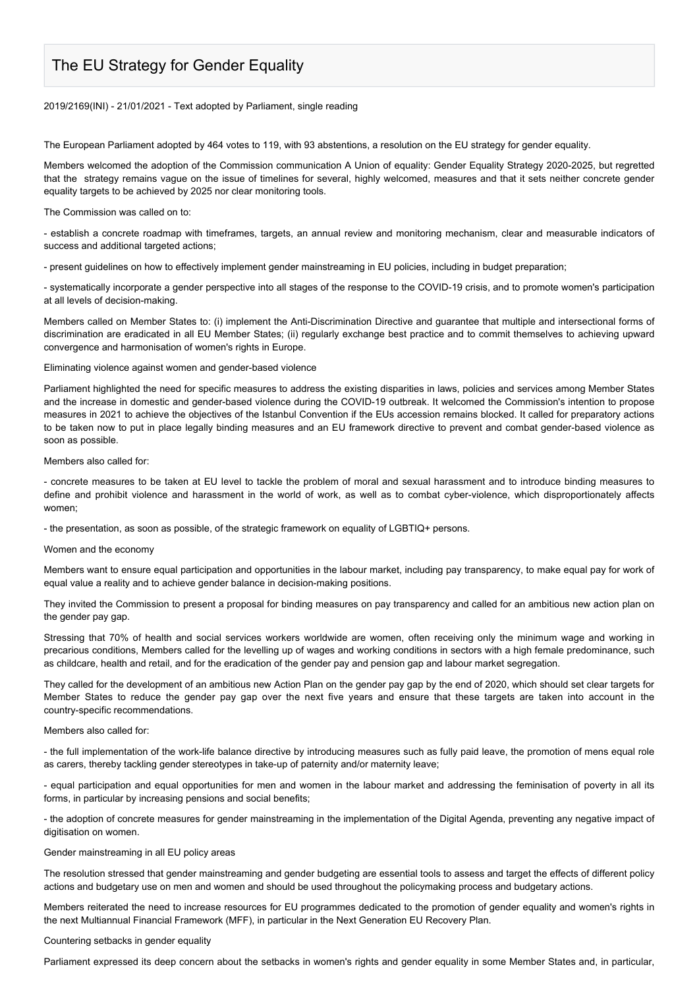# The EU Strategy for Gender Equality

#### 2019/2169(INI) - 21/01/2021 - Text adopted by Parliament, single reading

The European Parliament adopted by 464 votes to 119, with 93 abstentions, a resolution on the EU strategy for gender equality.

Members welcomed the adoption of the Commission communication A Union of equality: Gender Equality Strategy 2020-2025, but regretted that the strategy remains vague on the issue of timelines for several, highly welcomed, measures and that it sets neither concrete gender equality targets to be achieved by 2025 nor clear monitoring tools.

The Commission was called on to:

- establish a concrete roadmap with timeframes, targets, an annual review and monitoring mechanism, clear and measurable indicators of success and additional targeted actions;

- present guidelines on how to effectively implement gender mainstreaming in EU policies, including in budget preparation;

- systematically incorporate a gender perspective into all stages of the response to the COVID-19 crisis, and to promote women's participation at all levels of decision-making.

Members called on Member States to: (i) implement the Anti-Discrimination Directive and guarantee that multiple and intersectional forms of discrimination are eradicated in all EU Member States; (ii) regularly exchange best practice and to commit themselves to achieving upward convergence and harmonisation of women's rights in Europe.

### Eliminating violence against women and gender-based violence

Parliament highlighted the need for specific measures to address the existing disparities in laws, policies and services among Member States and the increase in domestic and gender-based violence during the COVID-19 outbreak. It welcomed the Commission's intention to propose measures in 2021 to achieve the objectives of the Istanbul Convention if the EUs accession remains blocked. It called for preparatory actions to be taken now to put in place legally binding measures and an EU framework directive to prevent and combat gender-based violence as soon as possible.

#### Members also called for:

- concrete measures to be taken at EU level to tackle the problem of moral and sexual harassment and to introduce binding measures to define and prohibit violence and harassment in the world of work, as well as to combat cyber-violence, which disproportionately affects women;

- the presentation, as soon as possible, of the strategic framework on equality of LGBTIQ+ persons.

## Women and the economy

Members want to ensure equal participation and opportunities in the labour market, including pay transparency, to make equal pay for work of equal value a reality and to achieve gender balance in decision-making positions.

They invited the Commission to present a proposal for binding measures on pay transparency and called for an ambitious new action plan on the gender pay gap.

Stressing that 70% of health and social services workers worldwide are women, often receiving only the minimum wage and working in precarious conditions, Members called for the levelling up of wages and working conditions in sectors with a high female predominance, such as childcare, health and retail, and for the eradication of the gender pay and pension gap and labour market segregation.

They called for the development of an ambitious new Action Plan on the gender pay gap by the end of 2020, which should set clear targets for Member States to reduce the gender pay gap over the next five years and ensure that these targets are taken into account in the country-specific recommendations.

#### Members also called for:

- the full implementation of the work-life balance directive by introducing measures such as fully paid leave, the promotion of mens equal role as carers, thereby tackling gender stereotypes in take-up of paternity and/or maternity leave;

- equal participation and equal opportunities for men and women in the labour market and addressing the feminisation of poverty in all its forms, in particular by increasing pensions and social benefits;

- the adoption of concrete measures for gender mainstreaming in the implementation of the Digital Agenda, preventing any negative impact of digitisation on women.

## Gender mainstreaming in all EU policy areas

The resolution stressed that gender mainstreaming and gender budgeting are essential tools to assess and target the effects of different policy actions and budgetary use on men and women and should be used throughout the policymaking process and budgetary actions.

Members reiterated the need to increase resources for EU programmes dedicated to the promotion of gender equality and women's rights in the next Multiannual Financial Framework (MFF), in particular in the Next Generation EU Recovery Plan.

## Countering setbacks in gender equality

Parliament expressed its deep concern about the setbacks in women's rights and gender equality in some Member States and, in particular,